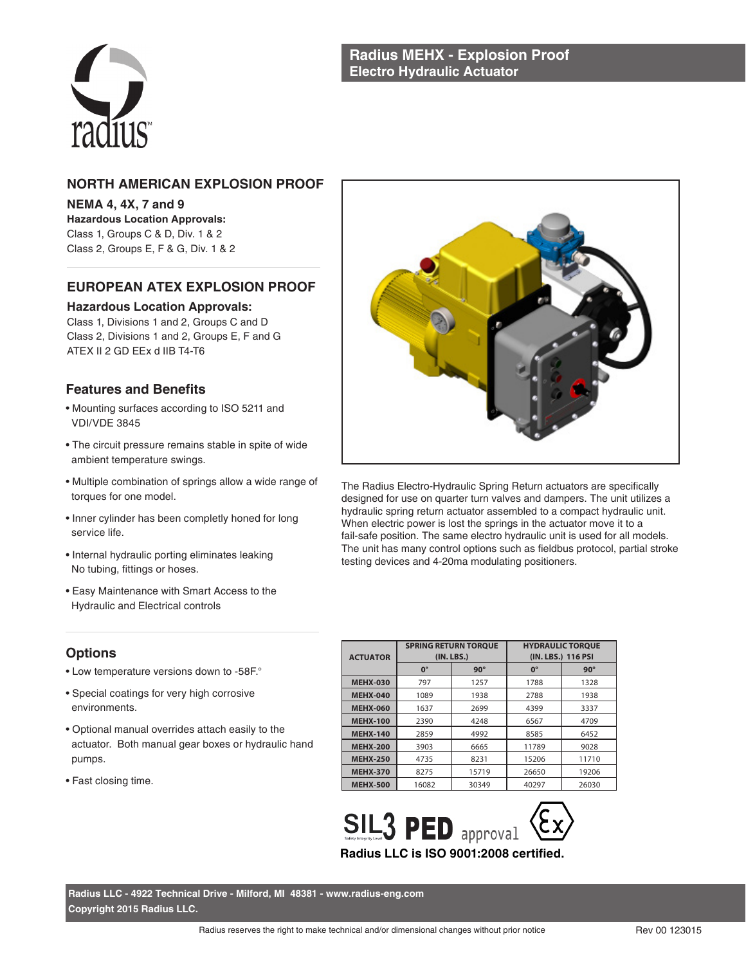

## **NORTH AMERICAN EXPLOSION PROOF**

**NEMA 4, 4X, 7 and 9 Hazardous Location Approvals:** Class 1, Groups C & D, Div. 1 & 2 Class 2, Groups E, F & G, Div. 1 & 2

# **EUROPEAN ATEX EXPLOSION PROOF**

#### **Hazardous Location Approvals:**

Class 1, Divisions 1 and 2, Groups C and D Class 2, Divisions 1 and 2, Groups E, F and G ATEX II 2 GD EEx d IIB T4-T6

### **Features and Benefits**

- Mounting surfaces according to ISO 5211 and VDI/VDE 3845
- The circuit pressure remains stable in spite of wide ambient temperature swings.
- Multiple combination of springs allow a wide range of torques for one model.
- Inner cylinder has been completly honed for long service life.
- Internal hydraulic porting eliminates leaking No tubing, fittings or hoses.
- Easy Maintenance with Smart Access to the Hydraulic and Electrical controls



The Radius Electro-Hydraulic Spring Return actuators are specifically designed for use on quarter turn valves and dampers. The unit utilizes a hydraulic spring return actuator assembled to a compact hydraulic unit. When electric power is lost the springs in the actuator move it to a fail-safe position. The same electro hydraulic unit is used for all models. The unit has many control options such as fieldbus protocol, partial stroke testing devices and 4-20ma modulating positioners.

# **Options**

- Low temperature versions down to -58F.°
- Special coatings for very high corrosive environments.
- Optional manual overrides attach easily to the actuator. Both manual gear boxes or hydraulic hand pumps.
- Fast closing time.

| <b>ACTUATOR</b> |             | <b>SPRING RETURN TOROUE</b><br>(IN. LBS.) | <b>HYDRAULIC TOROUE</b><br>(IN. LBS.) 116 PSI |            |  |
|-----------------|-------------|-------------------------------------------|-----------------------------------------------|------------|--|
|                 | $0^{\circ}$ | $90^\circ$                                | $0^{\circ}$                                   | $90^\circ$ |  |
| <b>MEHX-030</b> | 797         | 1257                                      | 1788                                          | 1328       |  |
| <b>MEHX-040</b> | 1089        | 1938                                      | 2788                                          | 1938       |  |
| <b>MEHX-060</b> | 1637        | 2699                                      | 4399                                          | 3337       |  |
| <b>MEHX-100</b> | 2390        | 4248                                      | 6567                                          | 4709       |  |
| <b>MEHX-140</b> | 2859        | 4992                                      | 8585                                          | 6452       |  |
| <b>MEHX-200</b> | 3903        | 6665                                      | 11789                                         | 9028       |  |
| <b>MEHX-250</b> | 4735        | 8231                                      | 15206                                         | 11710      |  |
| <b>MEHX-370</b> | 8275        | 15719                                     | 26650                                         | 19206      |  |
| <b>MEHX-500</b> | 16082       | 30349                                     | 40297                                         | 26030      |  |



**Radius LLC - 4922 Technical Drive - Milford, MI 48381 - www.radius-eng.com Copyright 2015 Radius LLC.**